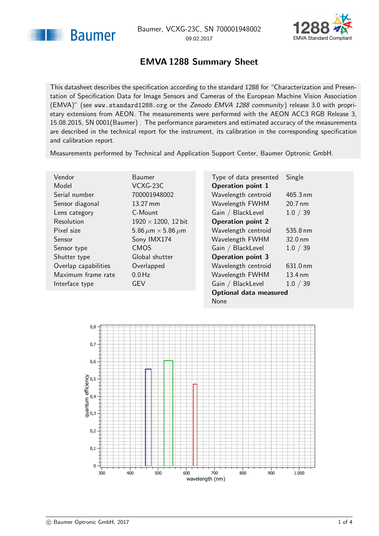<span id="page-0-1"></span>



### EMVA 1288 Summary Sheet

<span id="page-0-0"></span>This datasheet describes the specification according to the standard 1288 for "Characterization and Presentation of Specification Data for Image Sensors and Cameras of the European Machine Vision Association (EMVA)" (see <www.standard1288.org> or the [Zenodo EMVA 1288 community](http://www.zenodo.org/collection/user-emva1288) ) release 3.0 with proprietary extensions from AEON. The measurements were performed with the AEON ACC3 RGB Release 3, 15.08.2015, SN 0001(Baumer) . The performance parameters and estimated accuracy of the measurements are described in the technical report for the instrument, its calibration in the corresponding specification and calibration report.

Measurements performed by Technical and Application Support Center, Baumer Optronic GmbH.

 $12$  bit

| Vendor               | Baumer                             |
|----------------------|------------------------------------|
| Model                | VCXG-23C                           |
| Serial number        | 700001948002                       |
| Sensor diagonal      | $13.27 \text{ mm}$                 |
| Lens category        | C-Mount                            |
| Resolution           | $1920 \times 1200$ , 12 bit        |
| Pixel size           | 5.86 $\mu$ m $\times$ 5.86 $\mu$ m |
| Sensor               | Sony IMX174                        |
| Sensor type          | <b>CMOS</b>                        |
| Shutter type         | Global shutter                     |
| Overlap capabilities | Overlapped                         |
| Maximum frame rate   | $0.0$ Hz                           |
| Interface type       | GEV                                |
|                      |                                    |

| Type of data presented        | Single            |  |  |
|-------------------------------|-------------------|--|--|
| <b>Operation point 1</b>      |                   |  |  |
| Wavelength centroid           | 465.3 nm          |  |  |
| Wavelength FWHM               | 20.7 nm           |  |  |
| Gain / BlackLevel             | 1.0 / 39          |  |  |
| <b>Operation point 2</b>      |                   |  |  |
| Wavelength centroid           | 535.8 nm          |  |  |
| Wavelength FWHM               | $32.0 \text{ nm}$ |  |  |
| Gain / BlackLevel             | 1.0 / 39          |  |  |
| <b>Operation point 3</b>      |                   |  |  |
| Wavelength centroid           | 631.0 nm          |  |  |
| Wavelength FWHM               | 13.4 nm           |  |  |
| Gain / BlackLevel             | 1.0 / 39          |  |  |
| <b>Optional data measured</b> |                   |  |  |
| None                          |                   |  |  |

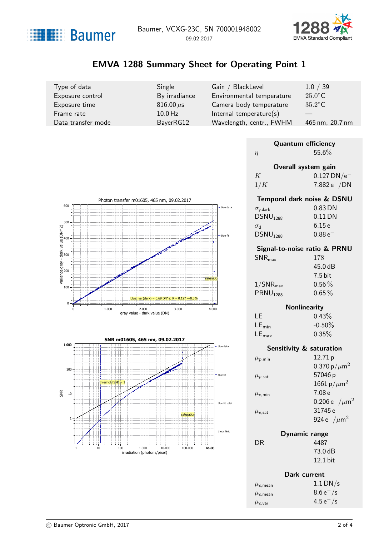



# EMVA 1288 Summary Sheet for Operating Point 1

| Type of data       | Single           | Gain / BlackLevel          | 1.0 / 39         |
|--------------------|------------------|----------------------------|------------------|
| Exposure control   | By irradiance    | Environmental temperature  | $25.0^{\circ}$ C |
| Exposure time      | $816.00 \,\mu s$ | Camera body temperature    | $35.2^{\circ}$ C |
| Frame rate         | $10.0$ Hz        | Internal temperature $(s)$ |                  |
| Data transfer mode | BayerRG12        | Wavelength, centr., FWHM   | 465 nm, 20.7 nm  |

| <b>Quantum efficiency</b> |                                     |  |
|---------------------------|-------------------------------------|--|
| $\eta$                    | 55.6%                               |  |
|                           | Overall system gain                 |  |
| K                         | $0.127$ DN/e <sup>-</sup>           |  |
| 1/K                       | $7.882\,\mathrm{e}^{-}/\mathrm{DN}$ |  |
|                           | Temporal dark noise & DSNU          |  |





#### **Nonlinearity**

45.0 dB

| LE.                 | 0.43%     |
|---------------------|-----------|
| $LE_{\text{min}}$   | $-0.50\%$ |
| $LE_{\textsf{max}}$ | 0.35%     |

|                        | <b>Sensitivity &amp; saturation</b>       |
|------------------------|-------------------------------------------|
| $\mu_{p,\text{min}}$   | 12.71 p                                   |
|                        | 0.370 p/ $\mu$ m <sup>2</sup>             |
| $\mu_{p,\mathsf{sat}}$ | 57046 p                                   |
|                        | 1661 p/ $\mu$ m <sup>2</sup>              |
| $\mu_{e,\text{min}}$   | $7.08e^{-}$                               |
|                        | 0.206 $e^-/\mu m^2$                       |
| $\mu_{e,\textsf{sat}}$ | $31745\,\mathrm{e}^{-}$                   |
|                        | 924 e <sup>-</sup> / $\mu$ m <sup>2</sup> |
|                        |                                           |

| Dynamic range |            |
|---------------|------------|
|               | 4487       |
|               | 73.0 dB    |
|               | $12.1$ bit |

 $DR$ 

|                         | Dark current  |  |
|-------------------------|---------------|--|
| $\mu_{c,\mathsf{mean}}$ | $1.1$ DN/s    |  |
| $\mu_{c,\mathsf{mean}}$ | $8.6 e^- / s$ |  |
| $\mu_{c,\mathsf{var}}$  | $4.5 e^- / s$ |  |



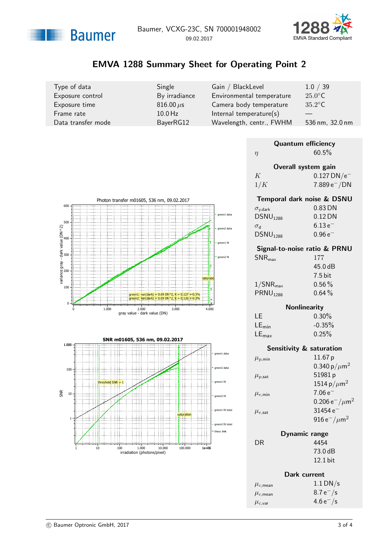



# EMVA 1288 Summary Sheet for Operating Point 2

| Type of data       | Single           | Gain / BlackLevel          | 1.0 / 39         |
|--------------------|------------------|----------------------------|------------------|
| Exposure control   | By irradiance    | Environmental temperature  | $25.0^{\circ}$ C |
| Exposure time      | $816.00 \,\mu s$ | Camera body temperature    | $35.2^{\circ}$ C |
| Frame rate         | $10.0$ Hz        | Internal temperature $(s)$ |                  |
| Data transfer mode | BayerRG12        | Wavelength, centr., FWHM   | 536 nm, 32.0 nm  |

| <b>Quantum efficiency</b> |                            |  |
|---------------------------|----------------------------|--|
| $\eta$                    | $60.5\%$                   |  |
| Overall system gain       |                            |  |
| K                         | $0.127$ DN/e <sup>-</sup>  |  |
| 1/K                       | $7.889 e^- / DN$           |  |
|                           | Temporal dark noise & DSNU |  |





| $\sigma_{y, \text{dark}}$    | 0.83 DN     |
|------------------------------|-------------|
| DSNU <sub>1288</sub>         | $0.12$ DN   |
| $\sigma_{\rm d}$             | $6.13e^{-}$ |
| DSNU <sub>1288</sub>         | $0.96e^-$   |
| Signal-to-noise ratio & PRNU |             |
| $SNR_{\text{max}}$           | 177         |
|                              | 45.0dB      |
|                              |             |

|                         | 7.5 bit  |
|-------------------------|----------|
| $1/\mathsf{SNR}_{\max}$ | $0.56\%$ |
| PRNU <sub>1288</sub>    | $0.64\%$ |

#### Nonlinearity

| 1 E               | $0.30\%$ |
|-------------------|----------|
| $LE_{min}$        | $-0.35%$ |
| $LE_{\text{max}}$ | 0.25%    |

|                        | <b>Sensitivity &amp; saturation</b> |
|------------------------|-------------------------------------|
| $\mu_{p,\text{min}}$   | 11.67 p                             |
|                        | 0.340 p/ $\mu$ m <sup>2</sup>       |
| $\mu_{p,\mathsf{sat}}$ | 51981p                              |
|                        | 1514 p/ $\mu$ m <sup>2</sup>        |
| $\mu_{e,\text{min}}$   | $7.06e^{-}$                         |
|                        | 0.206 $e^-/\mu m^2$                 |
| $\mu_{e,\textsf{sat}}$ | 31454 $e^-$                         |
|                        | 916 $e^-/\mu$ m <sup>2</sup>        |
| Dynamic range          |                                     |

| 4454       |
|------------|
| 73.0 dB    |
| $12.1$ bit |
|            |

 $DR$ 

|                         | Dark current  |
|-------------------------|---------------|
| $\mu_{c,\mathsf{mean}}$ | $1.1$ DN/s    |
| $\mu_{c,\mathsf{mean}}$ | $8.7 e^- / s$ |
| $\mu_{c,\mathsf{var}}$  | $4.6 e^- / s$ |